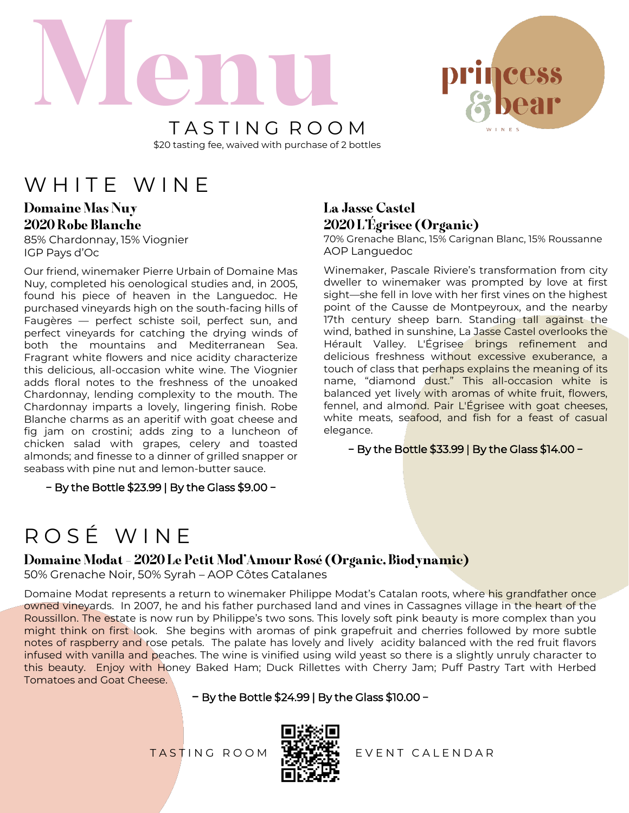



T A S T I N G R O O M \$20 tasting fee, waived with purchase of 2 bottles

## WHITE WINE

Domaine Mas Nuy 2020 Robe Blanche

85% Chardonnay, 15% Viognier IGP Pays d'Oc

Our friend, winemaker Pierre Urbain of Domaine Mas Nuy, completed his oenological studies and, in 2005, found his piece of heaven in the Languedoc. He purchased vineyards high on the south-facing hills of Faugères — perfect schiste soil, perfect sun, and perfect vineyards for catching the drying winds of both the mountains and Mediterranean Sea. Fragrant white flowers and nice acidity characterize this delicious, all-occasion white wine. The Viognier adds floral notes to the freshness of the unoaked Chardonnay, lending complexity to the mouth. The Chardonnay imparts a lovely, lingering finish. Robe Blanche charms as an aperitif with goat cheese and fig jam on crostini; adds zing to a luncheon of chicken salad with grapes, celery and toasted almonds; and finesse to a dinner of grilled snapper or seabass with pine nut and lemon-butter sauce.

− By the Bottle \$23.99 | By the Glass \$9.00 −

### La Jasse Castel 2020 L'Égrisee (Organic)

70% Grenache Blanc, 15% Carignan Blanc, 15% Roussanne AOP Languedoc

Winemaker, Pascale Riviere's transformation from city dweller to winemaker was prompted by love at first sight—she fell in love with her first vines on the highest point of the Causse de Montpeyroux, and the nearby 17th century sheep barn. Standing tall against the wind, bathed in sunshine, La Jasse Castel overlooks the Hérault Valley. L'Égrisee brings refinement and delicious freshness without excessive exuberance, a touch of class that perhaps explains the meaning of its name, "diamond dust." This all-occasion white is balanced yet lively with aromas of white fruit, flowers, fennel, and almond. Pair L'Égrisee with goat cheeses, white meats, seafood, and fish for a feast of casual elegance.

− By the Bottle \$33.99 | By the Glass \$14.00 −

# R O S É W I N E

### Domaine Modat – 2020 Le Petit Mod'Amour Rosé (Organic, Biodynamic)

50% Grenache Noir, 50% Syrah – AOP Côtes Catalanes

Domaine Modat represents a return to winemaker Philippe Modat's Catalan roots, where his grandfather once owned vineyards. In 2007, he and his father purchased land and vines in Cassagnes village in the heart of the Roussillon. The estate is now run by Philippe's two sons. This lovely soft pink beauty is more complex than you might think on first look. She begins with aromas of pink grapefruit and cherries followed by more subtle notes of raspberry and rose petals. The palate has lovely and lively acidity balanced with the red fruit flavors infused with vanilla and peaches. The wine is vinified using wild yeast so there is a slightly unruly character to this beauty. Enjoy with Honey Baked Ham; Duck Rillettes with Cherry Jam; Puff Pastry Tart with Herbed Tomatoes and Goat Cheese.

#### − By the Bottle \$24.99 | By the Glass \$10.00 −



TASTING ROOM **WALLER** EVENT CALENDAR